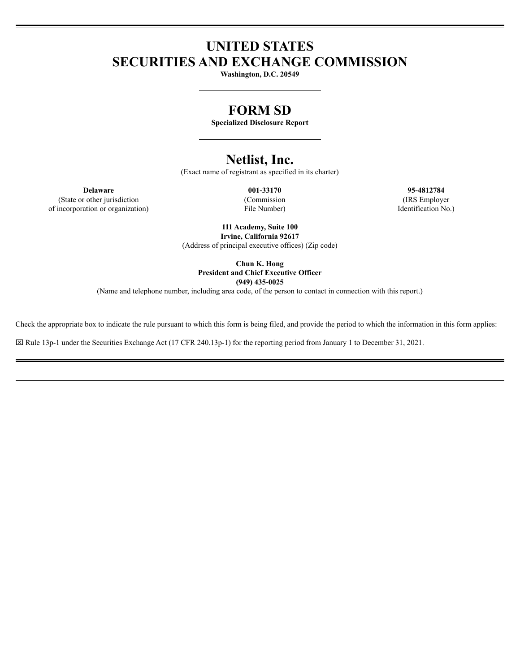## **UNITED STATES SECURITIES AND EXCHANGE COMMISSION**

**Washington, D.C. 20549**

## **FORM SD**

**Specialized Disclosure Report**

# **Netlist, Inc.**

(Exact name of registrant as specified in its charter)

(State or other jurisdiction of incorporation or organization) (Commission File Number)

**Delaware 001-33170 95-4812784** (IRS Employer Identification No.)

> **111 Academy, Suite 100 Irvine, California 92617** (Address of principal executive offices) (Zip code)

> > **Chun K. Hong President and Chief Executive Officer (949) 435-0025**

(Name and telephone number, including area code, of the person to contact in connection with this report.)

Check the appropriate box to indicate the rule pursuant to which this form is being filed, and provide the period to which the information in this form applies:

x Rule 13p-1 under the Securities Exchange Act (17 CFR 240.13p-1) for the reporting period from January 1 to December 31, 2021.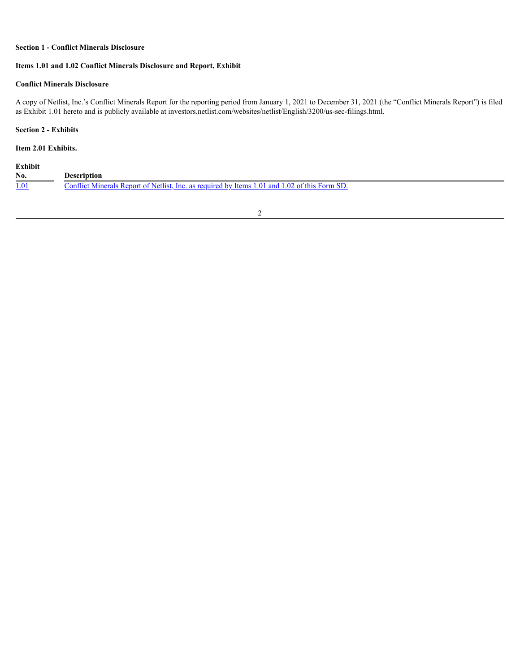#### **Section 1 - Conflict Minerals Disclosure**

### **Items 1.01 and 1.02 Conflict Minerals Disclosure and Report, Exhibit**

### **Conflict Minerals Disclosure**

A copy of Netlist, Inc.'s Conflict Minerals Report for the reporting period from January 1, 2021 to December 31, 2021 (the "Conflict Minerals Report") is filed as Exhibit 1.01 hereto and is publicly available at investors.netlist.com/websites/netlist/English/3200/us-sec-filings.html.

#### **Section 2 - Exhibits**

#### **Item 2.01 Exhibits.**

| Exhibit      |                                                                                               |
|--------------|-----------------------------------------------------------------------------------------------|
| No.          | <b>Description</b>                                                                            |
| <u> 1.01</u> | Conflict Minerals Report of Netlist, Inc. as required by Items 1.01 and 1.02 of this Form SD. |

### 2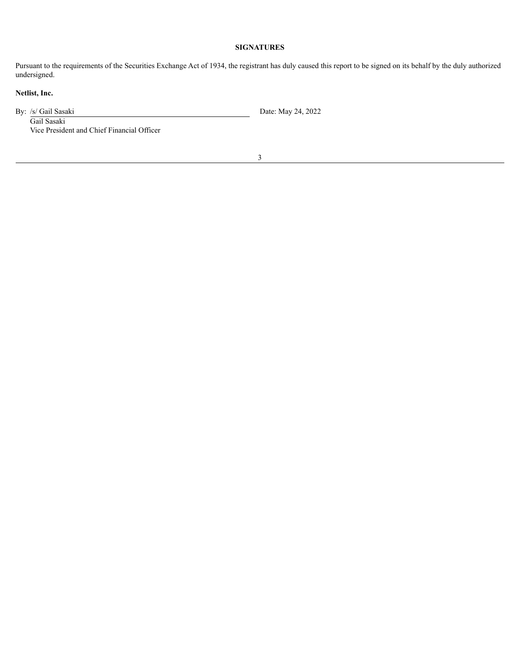#### **SIGNATURES**

Pursuant to the requirements of the Securities Exchange Act of 1934, the registrant has duly caused this report to be signed on its behalf by the duly authorized undersigned.

### **Netlist, Inc.**

By: /s/ Gail Sasaki Date: May 24, 2022

Gail Sasaki Vice President and Chief Financial Officer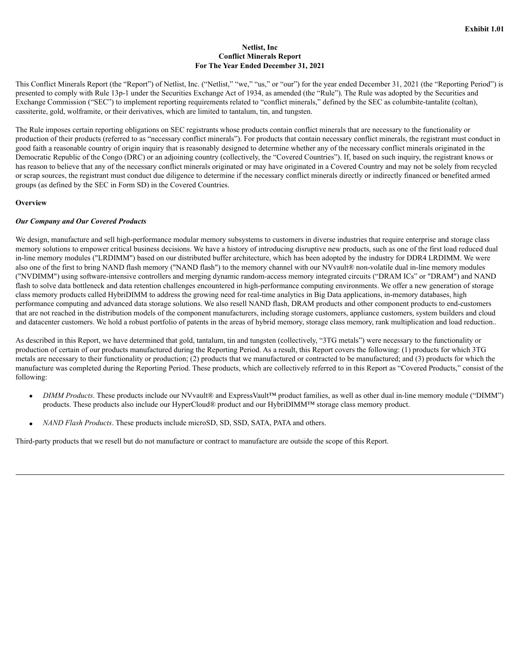#### **Netlist, Inc Conflict Minerals Report For The Year Ended December 31, 2021**

<span id="page-3-0"></span>This Conflict Minerals Report (the "Report") of Netlist, Inc. ("Netlist," "we," "us," or "our") for the year ended December 31, 2021 (the "Reporting Period") is presented to comply with Rule 13p-1 under the Securities Exchange Act of 1934, as amended (the "Rule"). The Rule was adopted by the Securities and Exchange Commission ("SEC") to implement reporting requirements related to "conflict minerals," defined by the SEC as columbite-tantalite (coltan), cassiterite, gold, wolframite, or their derivatives, which are limited to tantalum, tin, and tungsten.

The Rule imposes certain reporting obligations on SEC registrants whose products contain conflict minerals that are necessary to the functionality or production of their products (referred to as "necessary conflict minerals"). For products that contain necessary conflict minerals, the registrant must conduct in good faith a reasonable country of origin inquiry that is reasonably designed to determine whether any of the necessary conflict minerals originated in the Democratic Republic of the Congo (DRC) or an adjoining country (collectively, the "Covered Countries"). If, based on such inquiry, the registrant knows or has reason to believe that any of the necessary conflict minerals originated or may have originated in a Covered Country and may not be solely from recycled or scrap sources, the registrant must conduct due diligence to determine if the necessary conflict minerals directly or indirectly financed or benefited armed groups (as defined by the SEC in Form SD) in the Covered Countries.

#### **Overview**

#### *Our Company and Our Covered Products*

We design, manufacture and sell high-performance modular memory subsystems to customers in diverse industries that require enterprise and storage class memory solutions to empower critical business decisions. We have a history of introducing disruptive new products, such as one of the first load reduced dual in-line memory modules ("LRDIMM") based on our distributed buffer architecture, which has been adopted by the industry for DDR4 LRDIMM. We were also one of the first to bring NAND flash memory ("NAND flash") to the memory channel with our NVvault® non-volatile dual in-line memory modules ("NVDIMM") using software-intensive controllers and merging dynamic random-access memory integrated circuits ("DRAM ICs" or "DRAM") and NAND flash to solve data bottleneck and data retention challenges encountered in high-performance computing environments. We offer a new generation of storage class memory products called HybriDIMM to address the growing need for real-time analytics in Big Data applications, in-memory databases, high performance computing and advanced data storage solutions. We also resell NAND flash, DRAM products and other component products to end-customers that are not reached in the distribution models of the component manufacturers, including storage customers, appliance customers, system builders and cloud and datacenter customers. We hold a robust portfolio of patents in the areas of hybrid memory, storage class memory, rank multiplication and load reduction..

As described in this Report, we have determined that gold, tantalum, tin and tungsten (collectively, "3TG metals") were necessary to the functionality or production of certain of our products manufactured during the Reporting Period. As a result, this Report covers the following: (1) products for which 3TG metals are necessary to their functionality or production; (2) products that we manufactured or contracted to be manufactured; and (3) products for which the manufacture was completed during the Reporting Period. These products, which are collectively referred to in this Report as "Covered Products," consist of the following:

- · *DIMM Products*. These products include our NVvault® and ExpressVault™ product families, as well as other dual in-line memory module ("DIMM") products. These products also include our HyperCloud® product and our HybriDIMM™ storage class memory product.
- · *NAND Flash Products*. These products include microSD, SD, SSD, SATA, PATA and others.

Third-party products that we resell but do not manufacture or contract to manufacture are outside the scope of this Report.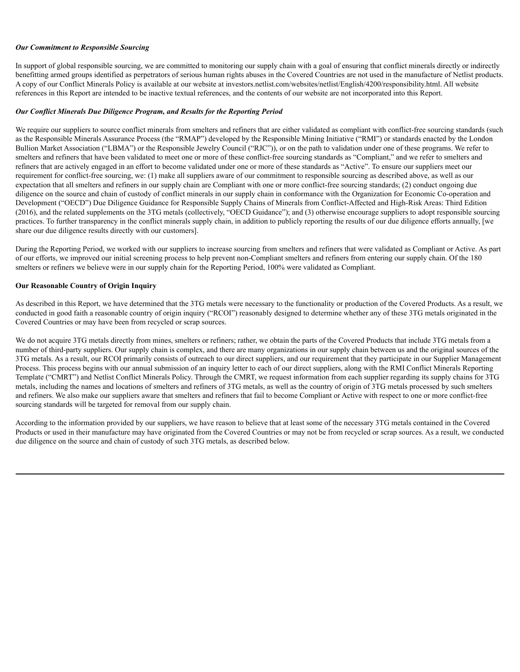#### *Our Commitment to Responsible Sourcing*

In support of global responsible sourcing, we are committed to monitoring our supply chain with a goal of ensuring that conflict minerals directly or indirectly benefitting armed groups identified as perpetrators of serious human rights abuses in the Covered Countries are not used in the manufacture of Netlist products. A copy of our Conflict Minerals Policy is available at our website at investors.netlist.com/websites/netlist/English/4200/responsibility.html. All website references in this Report are intended to be inactive textual references, and the contents of our website are not incorporated into this Report.

#### *Our Conflict Minerals Due Diligence Program, and Results for the Reporting Period*

We require our suppliers to source conflict minerals from smelters and refiners that are either validated as compliant with conflict-free sourcing standards (such as the Responsible Minerals Assurance Process (the "RMAP") developed by the Responsible Mining Initiative ("RMI") or standards enacted by the London Bullion Market Association ("LBMA") or the Responsible Jewelry Council ("RJC")), or on the path to validation under one of these programs. We refer to smelters and refiners that have been validated to meet one or more of these conflict-free sourcing standards as "Compliant," and we refer to smelters and refiners that are actively engaged in an effort to become validated under one or more of these standards as "Active". To ensure our suppliers meet our requirement for conflict-free sourcing, we: (1) make all suppliers aware of our commitment to responsible sourcing as described above, as well as our expectation that all smelters and refiners in our supply chain are Compliant with one or more conflict-free sourcing standards; (2) conduct ongoing due diligence on the source and chain of custody of conflict minerals in our supply chain in conformance with the Organization for Economic Co-operation and Development ("OECD") Due Diligence Guidance for Responsible Supply Chains of Minerals from Conflict-Affected and High-Risk Areas: Third Edition (2016), and the related supplements on the 3TG metals (collectively, "OECD Guidance"); and (3) otherwise encourage suppliers to adopt responsible sourcing practices. To further transparency in the conflict minerals supply chain, in addition to publicly reporting the results of our due diligence efforts annually, [we share our due diligence results directly with our customers].

During the Reporting Period, we worked with our suppliers to increase sourcing from smelters and refiners that were validated as Compliant or Active. As part of our efforts, we improved our initial screening process to help prevent non-Compliant smelters and refiners from entering our supply chain. Of the 180 smelters or refiners we believe were in our supply chain for the Reporting Period, 100% were validated as Compliant.

#### **Our Reasonable Country of Origin Inquiry**

As described in this Report, we have determined that the 3TG metals were necessary to the functionality or production of the Covered Products. As a result, we conducted in good faith a reasonable country of origin inquiry ("RCOI") reasonably designed to determine whether any of these 3TG metals originated in the Covered Countries or may have been from recycled or scrap sources.

We do not acquire 3TG metals directly from mines, smelters or refiners; rather, we obtain the parts of the Covered Products that include 3TG metals from a number of third-party suppliers. Our supply chain is complex, and there are many organizations in our supply chain between us and the original sources of the 3TG metals. As a result, our RCOI primarily consists of outreach to our direct suppliers, and our requirement that they participate in our Supplier Management Process. This process begins with our annual submission of an inquiry letter to each of our direct suppliers, along with the RMI Conflict Minerals Reporting Template ("CMRT") and Netlist Conflict Minerals Policy. Through the CMRT, we request information from each supplier regarding its supply chains for 3TG metals, including the names and locations of smelters and refiners of 3TG metals, as well as the country of origin of 3TG metals processed by such smelters and refiners. We also make our suppliers aware that smelters and refiners that fail to become Compliant or Active with respect to one or more conflict-free sourcing standards will be targeted for removal from our supply chain.

According to the information provided by our suppliers, we have reason to believe that at least some of the necessary 3TG metals contained in the Covered Products or used in their manufacture may have originated from the Covered Countries or may not be from recycled or scrap sources. As a result, we conducted due diligence on the source and chain of custody of such 3TG metals, as described below.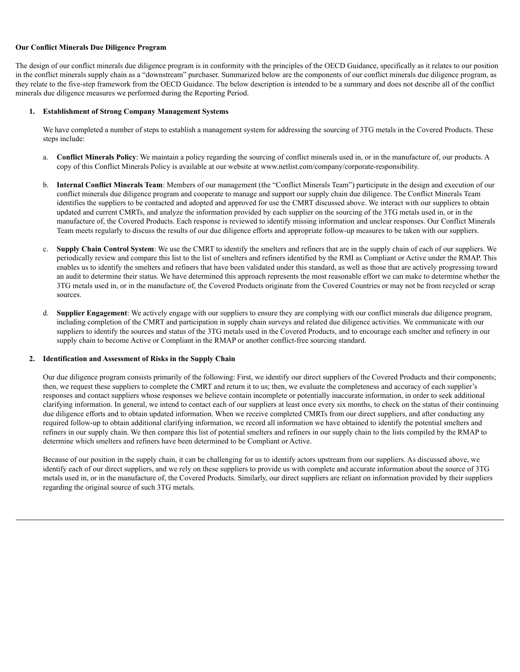#### **Our Conflict Minerals Due Diligence Program**

The design of our conflict minerals due diligence program is in conformity with the principles of the OECD Guidance, specifically as it relates to our position in the conflict minerals supply chain as a "downstream" purchaser. Summarized below are the components of our conflict minerals due diligence program, as they relate to the five-step framework from the OECD Guidance. The below description is intended to be a summary and does not describe all of the conflict minerals due diligence measures we performed during the Reporting Period.

#### **1. Establishment of Strong Company Management Systems**

We have completed a number of steps to establish a management system for addressing the sourcing of 3TG metals in the Covered Products. These steps include:

- a. **Conflict Minerals Policy**: We maintain a policy regarding the sourcing of conflict minerals used in, or in the manufacture of, our products. A copy of this Conflict Minerals Policy is available at our website at www.netlist.com/company/corporate-responsibility.
- b. **Internal Conflict Minerals Team**: Members of our management (the "Conflict Minerals Team") participate in the design and execution of our conflict minerals due diligence program and cooperate to manage and support our supply chain due diligence. The Conflict Minerals Team identifies the suppliers to be contacted and adopted and approved for use the CMRT discussed above. We interact with our suppliers to obtain updated and current CMRTs, and analyze the information provided by each supplier on the sourcing of the 3TG metals used in, or in the manufacture of, the Covered Products. Each response is reviewed to identify missing information and unclear responses. Our Conflict Minerals Team meets regularly to discuss the results of our due diligence efforts and appropriate follow-up measures to be taken with our suppliers.
- c. **Supply Chain Control System**: We use the CMRT to identify the smelters and refiners that are in the supply chain of each of our suppliers. We periodically review and compare this list to the list of smelters and refiners identified by the RMI as Compliant or Active under the RMAP. This enables us to identify the smelters and refiners that have been validated under this standard, as well as those that are actively progressing toward an audit to determine their status. We have determined this approach represents the most reasonable effort we can make to determine whether the 3TG metals used in, or in the manufacture of, the Covered Products originate from the Covered Countries or may not be from recycled or scrap sources.
- d. **Supplier Engagement**: We actively engage with our suppliers to ensure they are complying with our conflict minerals due diligence program, including completion of the CMRT and participation in supply chain surveys and related due diligence activities. We communicate with our suppliers to identify the sources and status of the 3TG metals used in the Covered Products, and to encourage each smelter and refinery in our supply chain to become Active or Compliant in the RMAP or another conflict-free sourcing standard.

#### **2. Identification and Assessment of Risks in the Supply Chain**

Our due diligence program consists primarily of the following: First, we identify our direct suppliers of the Covered Products and their components; then, we request these suppliers to complete the CMRT and return it to us; then, we evaluate the completeness and accuracy of each supplier's responses and contact suppliers whose responses we believe contain incomplete or potentially inaccurate information, in order to seek additional clarifying information. In general, we intend to contact each of our suppliers at least once every six months, to check on the status of their continuing due diligence efforts and to obtain updated information. When we receive completed CMRTs from our direct suppliers, and after conducting any required follow-up to obtain additional clarifying information, we record all information we have obtained to identify the potential smelters and refiners in our supply chain. We then compare this list of potential smelters and refiners in our supply chain to the lists compiled by the RMAP to determine which smelters and refiners have been determined to be Compliant or Active.

Because of our position in the supply chain, it can be challenging for us to identify actors upstream from our suppliers. As discussed above, we identify each of our direct suppliers, and we rely on these suppliers to provide us with complete and accurate information about the source of 3TG metals used in, or in the manufacture of, the Covered Products. Similarly, our direct suppliers are reliant on information provided by their suppliers regarding the original source of such 3TG metals.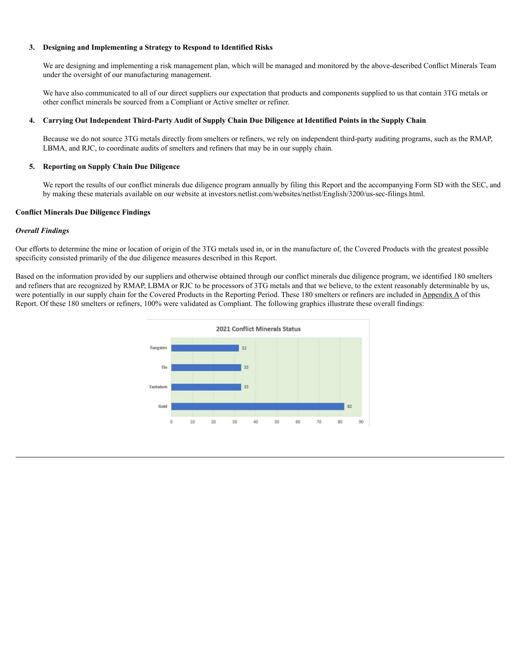#### **3. Designing and Implementing a Strategy to Respond to Identified Risks**

We are designing and implementing a risk management plan, which will be managed and monitored by the above-described Conflict Minerals Team under the oversight of our manufacturing management.

We have also communicated to all of our direct suppliers our expectation that products and components supplied to us that contain 3TG metals or other conflict minerals be sourced from a Compliant or Active smelter or refiner.

#### 4. Carrying Out Independent Third-Party Audit of Supply Chain Due Diligence at Identified Points in the Supply Chain

Because we do not source 3TG metals directly from smelters or refiners, we rely on independent third-party auditing programs, such as the RMAP, LBMA, and RJC, to coordinate audits of smelters and refiners that may be in our supply chain.

#### **5. Reporting on Supply Chain Due Diligence**

We report the results of our conflict minerals due diligence program annually by filing this Report and the accompanying Form SD with the SEC, and by making these materials available on our website at investors.netlist.com/websites/netlist/English/3200/us-sec-filings.html.

#### **Conflict Minerals Due Diligence Findings**

#### *Overall Findings*

Our efforts to determine the mine or location of origin of the 3TG metals used in, or in the manufacture of, the Covered Products with the greatest possible specificity consisted primarily of the due diligence measures described in this Report.

Based on the information provided by our suppliers and otherwise obtained through our conflict minerals due diligence program, we identified 180 smelters and refiners that are recognized by RMAP, LBMA or RJC to be processors of 3TG metals and that we believe, to the extent reasonably determinable by us, were potentially in our supply chain for the Covered Products in the Reporting Period. These 180 smelters or refiners are included in Appendix A of this Report. Of these 180 smelters or refiners, 100% were validated as Compliant. The following graphics illustrate these overall findings:

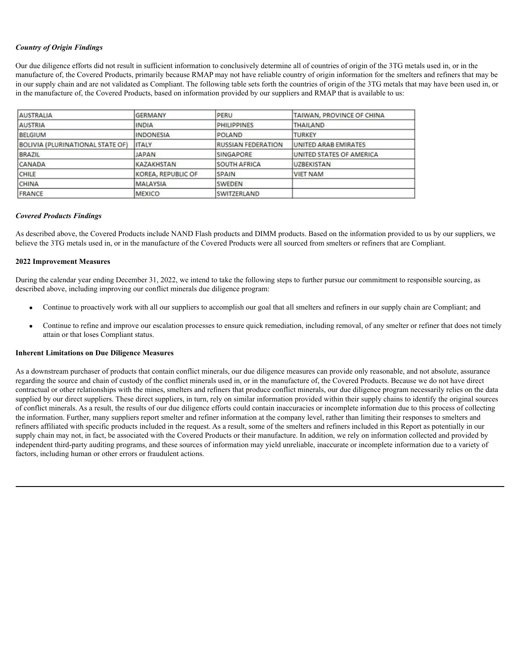#### *Country of Origin Findings*

Our due diligence efforts did not result in sufficient information to conclusively determine all of countries of origin of the 3TG metals used in, or in the manufacture of, the Covered Products, primarily because RMAP may not have reliable country of origin information for the smelters and refiners that may be in our supply chain and are not validated as Compliant. The following table sets forth the countries of origin of the 3TG metals that may have been used in, or in the manufacture of, the Covered Products, based on information provided by our suppliers and RMAP that is available to us:

| <b>AUSTRALIA</b>                        | <b>GERMANY</b>     | PERU                      | TAIWAN, PROVINCE OF CHINA   |
|-----------------------------------------|--------------------|---------------------------|-----------------------------|
| <b>AUSTRIA</b>                          | <b>INDIA</b>       | <b>PHILIPPINES</b>        | <b>THAILAND</b>             |
| <b>BELGIUM</b>                          | <b>INDONESIA</b>   | <b>POLAND</b>             | <b>TURKEY</b>               |
| <b>BOLIVIA (PLURINATIONAL STATE OF)</b> | <b>ITALY</b>       | <b>RUSSIAN FEDERATION</b> | <b>UNITED ARAB EMIRATES</b> |
| <b>BRAZIL</b>                           | <b>JAPAN</b>       | <b>SINGAPORE</b>          | UNITED STATES OF AMERICA    |
| <b>CANADA</b>                           | <b>KAZAKHSTAN</b>  | <b>SOUTH AFRICA</b>       | <b>UZBEKISTAN</b>           |
| <b>CHILE</b>                            | KOREA, REPUBLIC OF | <b>SPAIN</b>              | <b>VIET NAM</b>             |
| <b>CHINA</b>                            | <b>MALAYSIA</b>    | SWEDEN                    |                             |
| FRANCE                                  | <b>MEXICO</b>      | SWITZERLAND               |                             |

#### *Covered Products Findings*

As described above, the Covered Products include NAND Flash products and DIMM products. Based on the information provided to us by our suppliers, we believe the 3TG metals used in, or in the manufacture of the Covered Products were all sourced from smelters or refiners that are Compliant.

#### **2022 Improvement Measures**

During the calendar year ending December 31, 2022, we intend to take the following steps to further pursue our commitment to responsible sourcing, as described above, including improving our conflict minerals due diligence program:

- · Continue to proactively work with all our suppliers to accomplish our goal that all smelters and refiners in our supply chain are Compliant; and
- Continue to refine and improve our escalation processes to ensure quick remediation, including removal, of any smelter or refiner that does not timely attain or that loses Compliant status.

#### **Inherent Limitations on Due Diligence Measures**

As a downstream purchaser of products that contain conflict minerals, our due diligence measures can provide only reasonable, and not absolute, assurance regarding the source and chain of custody of the conflict minerals used in, or in the manufacture of, the Covered Products. Because we do not have direct contractual or other relationships with the mines, smelters and refiners that produce conflict minerals, our due diligence program necessarily relies on the data supplied by our direct suppliers. These direct suppliers, in turn, rely on similar information provided within their supply chains to identify the original sources of conflict minerals. As a result, the results of our due diligence efforts could contain inaccuracies or incomplete information due to this process of collecting the information. Further, many suppliers report smelter and refiner information at the company level, rather than limiting their responses to smelters and refiners affiliated with specific products included in the request. As a result, some of the smelters and refiners included in this Report as potentially in our supply chain may not, in fact, be associated with the Covered Products or their manufacture. In addition, we rely on information collected and provided by independent third-party auditing programs, and these sources of information may yield unreliable, inaccurate or incomplete information due to a variety of factors, including human or other errors or fraudulent actions.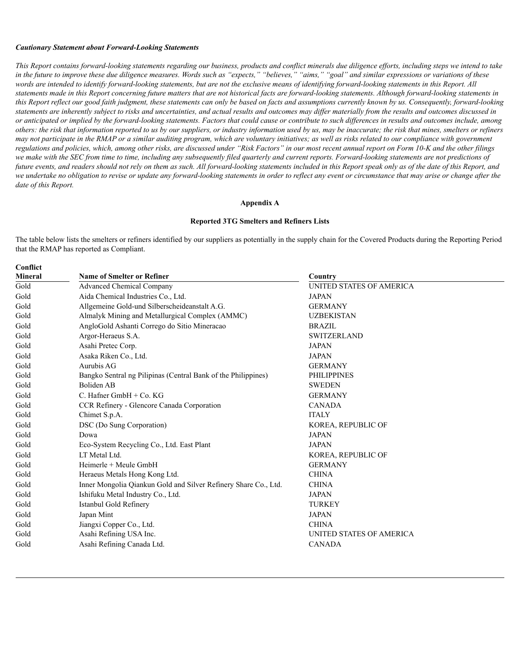#### *Cautionary Statement about Forward-Looking Statements*

**Conflict**

This Report contains forward-looking statements regarding our business, products and conflict minerals due diligence efforts, including steps we intend to take in the future to improve these due diligence measures. Words such as "expects," "believes," "aims," "goal" and similar expressions or variations of these words are intended to identify forward-looking statements, but are not the exclusive means of identifying forward-looking statements in this Report. All statements made in this Report concerning future matters that are not historical facts are forward-looking statements. Although forward-looking statements in this Report reflect our good faith judgment, these statements can only be based on facts and assumptions currently known by us. Consequently, forward-looking statements are inherently subject to risks and uncertainties, and actual results and outcomes may differ materially from the results and outcomes discussed in or anticipated or implied by the forward-looking statements. Factors that could cause or contribute to such differences in results and outcomes include, among others: the risk that information reported to us by our suppliers, or industry information used by us, may be inaccurate; the risk that mines, smelters or refiners may not participate in the RMAP or a similar auditing program, which are voluntary initiatives; as well as risks related to our compliance with government regulations and policies, which, among other risks, are discussed under "Risk Factors" in our most recent annual report on Form 10-K and the other filings we make with the SEC from time to time, including any subsequently filed quarterly and current reports. Forward-looking statements are not predictions of future events, and readers should not rely on them as such. All forward-looking statements included in this Report speak only as of the date of this Report, and we undertake no obligation to revise or update any forward-looking statements in order to reflect any event or circumstance that may arise or change after the *date of this Report.*

#### **Appendix A**

#### **Reported 3TG Smelters and Refiners Lists**

The table below lists the smelters or refiners identified by our suppliers as potentially in the supply chain for the Covered Products during the Reporting Period that the RMAP has reported as Compliant.

| <b>Mineral</b> | <b>Name of Smelter or Refiner</b>                               | Country                  |
|----------------|-----------------------------------------------------------------|--------------------------|
| Gold           | <b>Advanced Chemical Company</b>                                | UNITED STATES OF AMERICA |
| Gold           | Aida Chemical Industries Co., Ltd.                              | <b>JAPAN</b>             |
| Gold           | Allgemeine Gold-und Silberscheideanstalt A.G.                   | <b>GERMANY</b>           |
| Gold           | Almalyk Mining and Metallurgical Complex (AMMC)                 | <b>UZBEKISTAN</b>        |
| Gold           | AngloGold Ashanti Corrego do Sitio Mineracao                    | <b>BRAZIL</b>            |
| Gold           | Argor-Heraeus S.A.                                              | <b>SWITZERLAND</b>       |
| Gold           | Asahi Pretec Corp.                                              | <b>JAPAN</b>             |
| Gold           | Asaka Riken Co., Ltd.                                           | <b>JAPAN</b>             |
| Gold           | Aurubis AG                                                      | <b>GERMANY</b>           |
| Gold           | Bangko Sentral ng Pilipinas (Central Bank of the Philippines)   | PHILIPPINES              |
| Gold           | Boliden AB                                                      | <b>SWEDEN</b>            |
| Gold           | C. Hafner GmbH $+$ Co. KG                                       | <b>GERMANY</b>           |
| Gold           | CCR Refinery - Glencore Canada Corporation                      | <b>CANADA</b>            |
| Gold           | Chimet S.p.A.                                                   | <b>ITALY</b>             |
| Gold           | DSC (Do Sung Corporation)                                       | KOREA, REPUBLIC OF       |
| Gold           | Dowa                                                            | <b>JAPAN</b>             |
| Gold           | Eco-System Recycling Co., Ltd. East Plant                       | <b>JAPAN</b>             |
| Gold           | LT Metal Ltd.                                                   | KOREA, REPUBLIC OF       |
| Gold           | Heimerle + Meule GmbH                                           | <b>GERMANY</b>           |
| Gold           | Heraeus Metals Hong Kong Ltd.                                   | <b>CHINA</b>             |
| Gold           | Inner Mongolia Qiankun Gold and Silver Refinery Share Co., Ltd. | <b>CHINA</b>             |
| Gold           | Ishifuku Metal Industry Co., Ltd.                               | <b>JAPAN</b>             |
| Gold           | Istanbul Gold Refinery                                          | <b>TURKEY</b>            |
| Gold           | Japan Mint                                                      | <b>JAPAN</b>             |
| Gold           | Jiangxi Copper Co., Ltd.                                        | <b>CHINA</b>             |
| Gold           | Asahi Refining USA Inc.                                         | UNITED STATES OF AMERICA |
| Gold           | Asahi Refining Canada Ltd.                                      | <b>CANADA</b>            |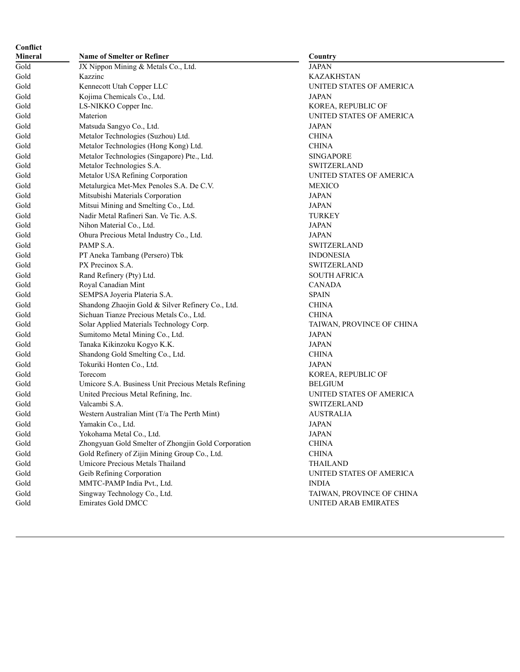| Conflict |                                                     |                 |
|----------|-----------------------------------------------------|-----------------|
| Mineral  | <b>Name of Smelter or Refiner</b>                   | Country         |
| Gold     | JX Nippon Mining & Metals Co., Ltd.                 | <b>JAPAN</b>    |
| Gold     | Kazzinc                                             | KAZAKHS         |
| Gold     | Kennecott Utah Copper LLC                           | <b>UNITED S</b> |
| Gold     | Kojima Chemicals Co., Ltd.                          | <b>JAPAN</b>    |
| Gold     | LS-NIKKO Copper Inc.                                | KOREA, R        |
| Gold     | Materion                                            | <b>UNITED S</b> |
| Gold     | Matsuda Sangyo Co., Ltd.                            | JAPAN           |
| Gold     | Metalor Technologies (Suzhou) Ltd.                  | <b>CHINA</b>    |
| Gold     | Metalor Technologies (Hong Kong) Ltd.               | CHINA           |
| Gold     | Metalor Technologies (Singapore) Pte., Ltd.         | <b>SINGAPOI</b> |
| Gold     | Metalor Technologies S.A.                           | SWITZERI        |
| Gold     | Metalor USA Refining Corporation                    | UNITED S'       |
| Gold     | Metalurgica Met-Mex Penoles S.A. De C.V.            | MEXICO          |
| Gold     | Mitsubishi Materials Corporation                    | JAPAN           |
| Gold     | Mitsui Mining and Smelting Co., Ltd.                | JAPAN           |
| Gold     | Nadir Metal Rafineri San. Ve Tic. A.S.              | TURKEY          |
| Gold     | Nihon Material Co., Ltd.                            | JAPAN           |
| Gold     | Ohura Precious Metal Industry Co., Ltd.             | JAPAN           |
| Gold     | PAMP S.A.                                           | <b>SWITZERI</b> |
| Gold     | PT Aneka Tambang (Persero) Tbk                      | <b>INDONESI</b> |
| Gold     | PX Precinox S.A.                                    | <b>SWITZERI</b> |
| Gold     | Rand Refinery (Pty) Ltd.                            | <b>SOUTH AF</b> |
| Gold     | Royal Canadian Mint                                 | <b>CANADA</b>   |
| Gold     | SEMPSA Joyeria Plateria S.A.                        | <b>SPAIN</b>    |
| Gold     | Shandong Zhaojin Gold & Silver Refinery Co., Ltd.   | <b>CHINA</b>    |
| Gold     | Sichuan Tianze Precious Metals Co., Ltd.            | CHINA           |
| Gold     | Solar Applied Materials Technology Corp.            | TAIWAN, I       |
| Gold     | Sumitomo Metal Mining Co., Ltd.                     | JAPAN           |
| Gold     | Tanaka Kikinzoku Kogyo K.K.                         | JAPAN           |
| Gold     | Shandong Gold Smelting Co., Ltd.                    | CHINA           |
| Gold     | Tokuriki Honten Co., Ltd.                           | JAPAN           |
| Gold     | Torecom                                             | KOREA, R        |
| Gold     | Umicore S.A. Business Unit Precious Metals Refining | <b>BELGIUM</b>  |
| Gold     | United Precious Metal Refining, Inc.                | <b>UNITED S</b> |
| Gold     | Valcambi S.A.                                       | <b>SWITZERI</b> |
| Gold     | Western Australian Mint (T/a The Perth Mint)        | <b>AUSTRAL</b>  |
| Gold     | Yamakin Co., Ltd.                                   | <b>JAPAN</b>    |
| Gold     | Yokohama Metal Co., Ltd.                            | JAPAN           |
| Gold     | Zhongyuan Gold Smelter of Zhongjin Gold Corporation | <b>CHINA</b>    |
| Gold     | Gold Refinery of Zijin Mining Group Co., Ltd.       | <b>CHINA</b>    |
| Gold     | Umicore Precious Metals Thailand                    | <b>THAILAN</b>  |
| Gold     | Geib Refining Corporation                           | <b>UNITED S</b> |
| Gold     | MMTC-PAMP India Pvt., Ltd.                          | <b>INDIA</b>    |
| Gold     | Singway Technology Co., Ltd.                        | TAIWAN, I       |
| Gold     | Emirates Gold DMCC                                  | <b>UNITED A</b> |
|          |                                                     |                 |

KAZAKHSTAN UNITED STATES OF AMERICA KOREA, REPUBLIC OF UNITED STATES OF AMERICA SINGAPORE SWITZERLAND UNITED STATES OF AMERICA SWITZERLAND INDONESIA SWITZERLAND SOUTH AFRICA TAIWAN, PROVINCE OF CHINA KOREA, REPUBLIC OF  $\operatorname{BELGIUM}$ UNITED STATES OF AMERICA SWITZERLAND AUSTRALIA THAILAND UNITED STATES OF AMERICA TAIWAN, PROVINCE OF CHINA  $\,$  UNITED ARAB EMIRATES  $\,$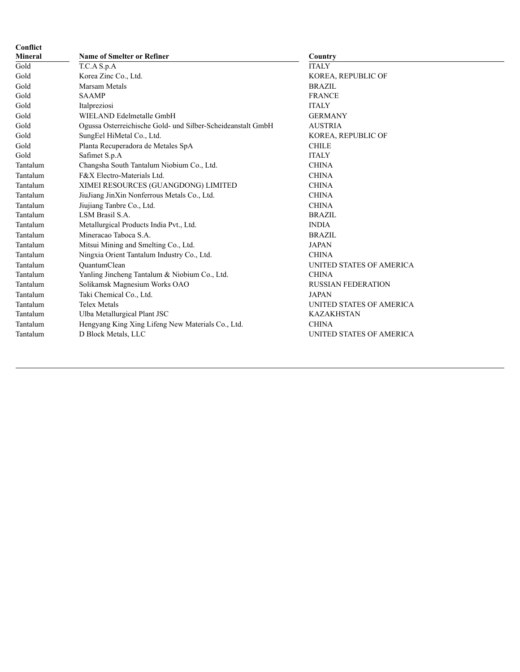| Conflict<br><b>Mineral</b> | <b>Name of Smelter or Refiner</b>                           | Country                   |
|----------------------------|-------------------------------------------------------------|---------------------------|
| Gold                       | T.C.A S.p.A                                                 | <b>ITALY</b>              |
| Gold                       | Korea Zinc Co., Ltd.                                        | KOREA, REPUBLIC OF        |
| Gold                       | Marsam Metals                                               | <b>BRAZIL</b>             |
| Gold                       | <b>SAAMP</b>                                                | <b>FRANCE</b>             |
| Gold                       | Italpreziosi                                                | <b>ITALY</b>              |
| Gold                       | WIELAND Edelmetalle GmbH                                    | <b>GERMANY</b>            |
| Gold                       | Ogussa Osterreichische Gold- und Silber-Scheideanstalt GmbH | <b>AUSTRIA</b>            |
| Gold                       | SungEel HiMetal Co., Ltd.                                   | KOREA, REPUBLIC OF        |
| Gold                       | Planta Recuperadora de Metales SpA                          | <b>CHILE</b>              |
| Gold                       | Safimet S.p.A                                               | <b>ITALY</b>              |
| Tantalum                   | Changsha South Tantalum Niobium Co., Ltd.                   | <b>CHINA</b>              |
| Tantalum                   | F&X Electro-Materials Ltd.                                  | <b>CHINA</b>              |
| Tantalum                   | XIMEI RESOURCES (GUANGDONG) LIMITED                         | <b>CHINA</b>              |
| Tantalum                   | JiuJiang JinXin Nonferrous Metals Co., Ltd.                 | <b>CHINA</b>              |
| Tantalum                   | Jiujiang Tanbre Co., Ltd.                                   | <b>CHINA</b>              |
| Tantalum                   | LSM Brasil S.A.                                             | <b>BRAZIL</b>             |
| Tantalum                   | Metallurgical Products India Pvt., Ltd.                     | <b>INDIA</b>              |
| Tantalum                   | Mineracao Taboca S.A.                                       | <b>BRAZIL</b>             |
| Tantalum                   | Mitsui Mining and Smelting Co., Ltd.                        | <b>JAPAN</b>              |
| Tantalum                   | Ningxia Orient Tantalum Industry Co., Ltd.                  | <b>CHINA</b>              |
| Tantalum                   | OuantumClean                                                | UNITED STATES OF AMERICA  |
| Tantalum                   | Yanling Jincheng Tantalum & Niobium Co., Ltd.               | <b>CHINA</b>              |
| Tantalum                   | Solikamsk Magnesium Works OAO                               | <b>RUSSIAN FEDERATION</b> |
| Tantalum                   | Taki Chemical Co., Ltd.                                     | <b>JAPAN</b>              |
| Tantalum                   | <b>Telex Metals</b>                                         | UNITED STATES OF AMERICA  |
| Tantalum                   | Ulba Metallurgical Plant JSC                                | <b>KAZAKHSTAN</b>         |
| Tantalum                   | Hengyang King Xing Lifeng New Materials Co., Ltd.           | <b>CHINA</b>              |
| Tantalum                   | D Block Metals, LLC                                         | UNITED STATES OF AMERICA  |
|                            |                                                             |                           |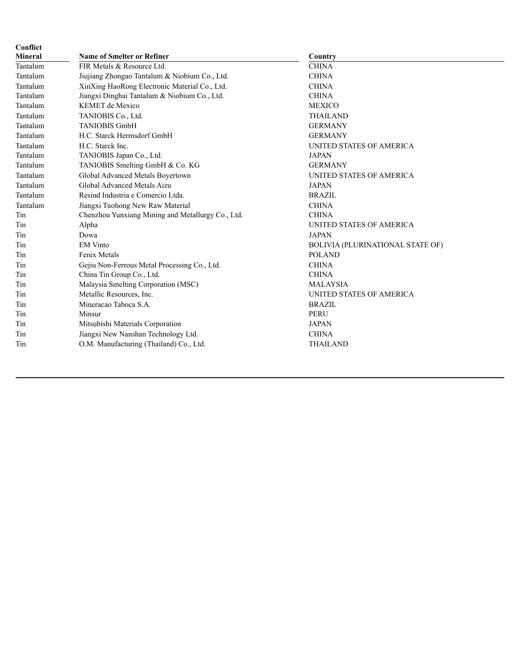| Conflict       |                                                   |                                         |
|----------------|---------------------------------------------------|-----------------------------------------|
| <b>Mineral</b> | <b>Name of Smelter or Refiner</b>                 | Country                                 |
| Tantalum       | FIR Metals & Resource Ltd.                        | <b>CHINA</b>                            |
| Tantalum       | Jiujiang Zhongao Tantalum & Niobium Co., Ltd.     | <b>CHINA</b>                            |
| Tantalum       | XinXing HaoRong Electronic Material Co., Ltd.     | <b>CHINA</b>                            |
| Tantalum       | Jiangxi Dinghai Tantalum & Niobium Co., Ltd.      | <b>CHINA</b>                            |
| Tantalum       | KEMET de Mexico                                   | <b>MEXICO</b>                           |
| Tantalum       | TANIOBIS Co., Ltd.                                | <b>THAILAND</b>                         |
| Tantalum       | <b>TANIOBIS GmbH</b>                              | <b>GERMANY</b>                          |
| Tantalum       | H.C. Starck Hermsdorf GmbH                        | <b>GERMANY</b>                          |
| Tantalum       | H.C. Starck Inc.                                  | UNITED STATES OF AMERICA                |
| Tantalum       | TANIOBIS Japan Co., Ltd.                          | <b>JAPAN</b>                            |
| Tantalum       | TANIOBIS Smelting GmbH & Co. KG                   | <b>GERMANY</b>                          |
| Tantalum       | Global Advanced Metals Boyertown                  | UNITED STATES OF AMERICA                |
| Tantalum       | Global Advanced Metals Aizu                       | <b>JAPAN</b>                            |
| Tantalum       | Resind Industria e Comercio Ltda.                 | <b>BRAZIL</b>                           |
| Tantalum       | Jiangxi Tuohong New Raw Material                  | <b>CHINA</b>                            |
| Tin            | Chenzhou Yunxiang Mining and Metallurgy Co., Ltd. | <b>CHINA</b>                            |
| Tin            | Alpha                                             | UNITED STATES OF AMERICA                |
| Tin            | Dowa                                              | <b>JAPAN</b>                            |
| Tin            | <b>EM Vinto</b>                                   | <b>BOLIVIA (PLURINATIONAL STATE OF)</b> |
| Tin            | Fenix Metals                                      | <b>POLAND</b>                           |
| Tin            | Gejiu Non-Ferrous Metal Processing Co., Ltd.      | <b>CHINA</b>                            |
| Tin            | China Tin Group Co., Ltd.                         | <b>CHINA</b>                            |
| Tin            | Malaysia Smelting Corporation (MSC)               | <b>MALAYSIA</b>                         |
| Tin            | Metallic Resources, Inc.                          | UNITED STATES OF AMERICA                |
| Tin            | Mineracao Taboca S.A.                             | <b>BRAZIL</b>                           |
| Tin            | Minsur                                            | <b>PERU</b>                             |
| Tin            | Mitsubishi Materials Corporation                  | <b>JAPAN</b>                            |
| Tin            | Jiangxi New Nanshan Technology Ltd.               | <b>CHINA</b>                            |
| Tin            | O.M. Manufacturing (Thailand) Co., Ltd.           | <b>THAILAND</b>                         |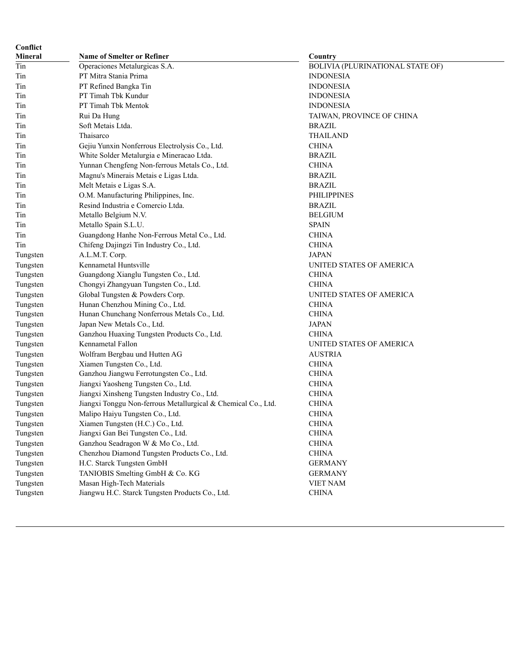| Conflict       |                                                               |                                  |
|----------------|---------------------------------------------------------------|----------------------------------|
| <b>Mineral</b> | <b>Name of Smelter or Refiner</b>                             | Country                          |
| Tin            | Operaciones Metalurgicas S.A.                                 | BOLIVIA (PLURINATIONAL STATE OF) |
| Tin            | PT Mitra Stania Prima                                         | <b>INDONESIA</b>                 |
| Tin            | PT Refined Bangka Tin                                         | <b>INDONESIA</b>                 |
| Tin            | PT Timah Tbk Kundur                                           | <b>INDONESIA</b>                 |
| Tin            | PT Timah Tbk Mentok                                           | <b>INDONESIA</b>                 |
| Tin            | Rui Da Hung                                                   | TAIWAN, PROVINCE OF CHINA        |
| Tin            | Soft Metais Ltda.                                             | <b>BRAZIL</b>                    |
| Tin            | Thaisarco                                                     | <b>THAILAND</b>                  |
| Tin            | Gejiu Yunxin Nonferrous Electrolysis Co., Ltd.                | <b>CHINA</b>                     |
| Tin            | White Solder Metalurgia e Mineracao Ltda.                     | <b>BRAZIL</b>                    |
| Tin            | Yunnan Chengfeng Non-ferrous Metals Co., Ltd.                 | <b>CHINA</b>                     |
| Tin            | Magnu's Minerais Metais e Ligas Ltda.                         | <b>BRAZIL</b>                    |
| Tin            | Melt Metais e Ligas S.A.                                      | <b>BRAZIL</b>                    |
| Tin            | O.M. Manufacturing Philippines, Inc.                          | <b>PHILIPPINES</b>               |
| Tin            | Resind Industria e Comercio Ltda.                             | <b>BRAZIL</b>                    |
| Tin            | Metallo Belgium N.V.                                          | <b>BELGIUM</b>                   |
| Tin            | Metallo Spain S.L.U.                                          | <b>SPAIN</b>                     |
| Tin            | Guangdong Hanhe Non-Ferrous Metal Co., Ltd.                   | <b>CHINA</b>                     |
| Tin            | Chifeng Dajingzi Tin Industry Co., Ltd.                       | <b>CHINA</b>                     |
| Tungsten       | A.L.M.T. Corp.                                                | <b>JAPAN</b>                     |
| Tungsten       | Kennametal Huntsville                                         | UNITED STATES OF AMERICA         |
| Tungsten       | Guangdong Xianglu Tungsten Co., Ltd.                          | <b>CHINA</b>                     |
| Tungsten       | Chongyi Zhangyuan Tungsten Co., Ltd.                          | <b>CHINA</b>                     |
| Tungsten       | Global Tungsten & Powders Corp.                               | UNITED STATES OF AMERICA         |
| Tungsten       | Hunan Chenzhou Mining Co., Ltd.                               | <b>CHINA</b>                     |
| Tungsten       | Hunan Chunchang Nonferrous Metals Co., Ltd.                   | <b>CHINA</b>                     |
| Tungsten       | Japan New Metals Co., Ltd.                                    | <b>JAPAN</b>                     |
| Tungsten       | Ganzhou Huaxing Tungsten Products Co., Ltd.                   | <b>CHINA</b>                     |
| Tungsten       | Kennametal Fallon                                             | UNITED STATES OF AMERICA         |
| Tungsten       | Wolfram Bergbau und Hutten AG                                 | <b>AUSTRIA</b>                   |
| Tungsten       | Xiamen Tungsten Co., Ltd.                                     | <b>CHINA</b>                     |
| Tungsten       | Ganzhou Jiangwu Ferrotungsten Co., Ltd.                       | <b>CHINA</b>                     |
| Tungsten       | Jiangxi Yaosheng Tungsten Co., Ltd.                           | <b>CHINA</b>                     |
| Tungsten       | Jiangxi Xinsheng Tungsten Industry Co., Ltd.                  | <b>CHINA</b>                     |
| Tungsten       | Jiangxi Tonggu Non-ferrous Metallurgical & Chemical Co., Ltd. | <b>CHINA</b>                     |
| Tungsten       | Malipo Haiyu Tungsten Co., Ltd.                               | <b>CHINA</b>                     |
| Tungsten       | Xiamen Tungsten (H.C.) Co., Ltd.                              | <b>CHINA</b>                     |
| Tungsten       | Jiangxi Gan Bei Tungsten Co., Ltd.                            | <b>CHINA</b>                     |
| Tungsten       | Ganzhou Seadragon W & Mo Co., Ltd.                            | <b>CHINA</b>                     |
| Tungsten       | Chenzhou Diamond Tungsten Products Co., Ltd.                  | <b>CHINA</b>                     |
| Tungsten       | H.C. Starck Tungsten GmbH                                     | <b>GERMANY</b>                   |
| Tungsten       | TANIOBIS Smelting GmbH & Co. KG                               | <b>GERMANY</b>                   |
| Tungsten       | Masan High-Tech Materials                                     | <b>VIET NAM</b>                  |
| Tungsten       | Jiangwu H.C. Starck Tungsten Products Co., Ltd.               | <b>CHINA</b>                     |
|                |                                                               |                                  |